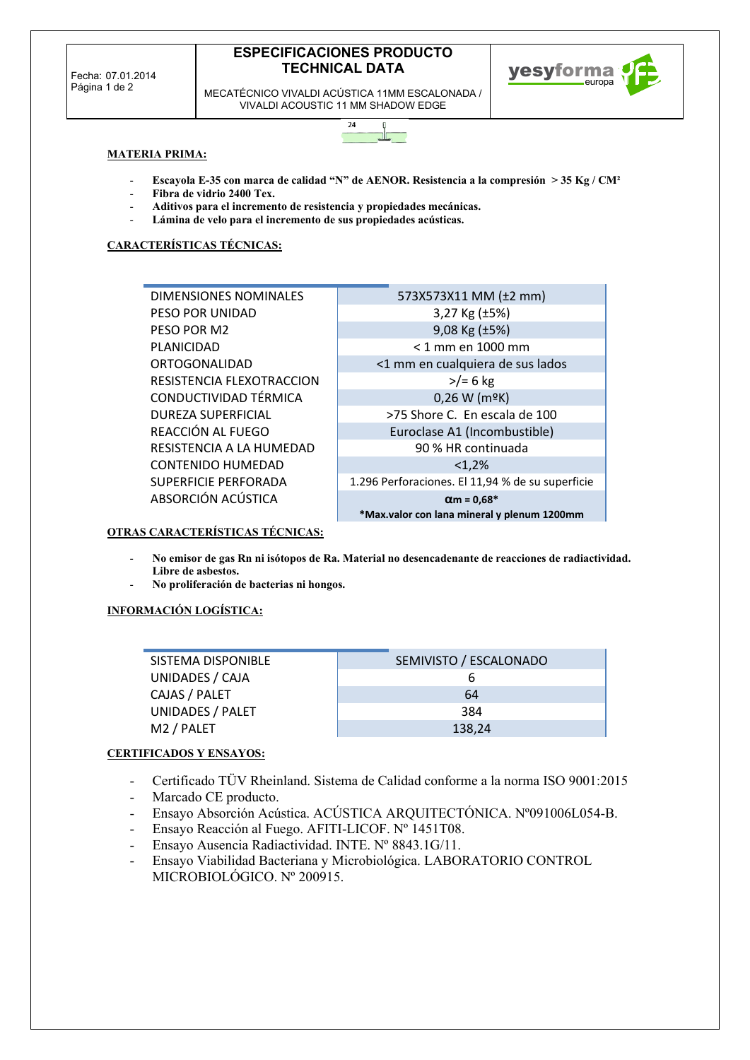# **ESPECIFICACIONES PRODUCTO TECHNICAL DATA**



MECATÉCNICO VIVALDI ACÚSTICA 11MM ESCALONADA / VIVALDI ACOUSTIC 11 MM SHADOW EDGE



### **MATERIA PRIMA:**

- **Escayola E-35 con marca de calidad "N" de AENOR. Resistencia a la compresión > 35 Kg / CM²**
- **Fibra de vidrio 2400 Tex.**
- **Aditivos para el incremento de resistencia y propiedades mecánicas.**
- Lámina de velo para el incremento de sus propiedades acústicas.

### **CARACTERÍSTICAS TÉCNICAS:**

| DIMENSIONES NOMINALES       | 573X573X11 MM (±2 mm)                            |
|-----------------------------|--------------------------------------------------|
| PESO POR UNIDAD             | 3,27 Kg $(\pm 5\%)$                              |
| PESO POR M2                 | 9,08 Kg (±5%)                                    |
| PLANICIDAD                  | $<$ 1 mm en 1000 mm                              |
| ORTOGONALIDAD               | <1 mm en cualquiera de sus lados                 |
| RESISTENCIA FLEXOTRACCION   | $>$ /= 6 kg                                      |
| CONDUCTIVIDAD TÉRMICA       | 0,26 W (mºK)                                     |
| <b>DUREZA SUPERFICIAL</b>   | >75 Shore C. En escala de 100                    |
| REACCIÓN AL FUEGO           | Euroclase A1 (Incombustible)                     |
| RESISTENCIA A LA HUMEDAD    | 90 % HR continuada                               |
| <b>CONTENIDO HUMEDAD</b>    | <1.2%                                            |
| <b>SUPERFICIE PERFORADA</b> | 1.296 Perforaciones. El 11,94 % de su superficie |
| ABSORCIÓN ACÚSTICA          | $\alpha$ m = 0,68*                               |
|                             | *Max.valor con lana mineral y plenum 1200mm      |

## **OTRAS CARACTERÍSTICAS TÉCNICAS:**

- **No emisor de gas Rn ni isótopos de Ra. Material no desencadenante de reacciones de radiactividad. Libre de asbestos.**
- **No proliferación de bacterias ni hongos.**

### **INFORMACIÓN LOGÍSTICA:**

| SISTEMA DISPONIBLE     | SEMIVISTO / ESCALONADO |
|------------------------|------------------------|
| UNIDADES / CAJA        |                        |
| CAJAS / PALET          | 64                     |
| UNIDADES / PALET       | 384                    |
| M <sub>2</sub> / PALET | 138,24                 |

### **CERTIFICADOS Y ENSAYOS:**

- Certificado TÜV Rheinland. Sistema de Calidad conforme a la norma ISO 9001:2015
- Marcado CE producto.
- Ensayo Absorción Acústica. ACÚSTICA ARQUITECTÓNICA. Nº091006L054-B.
- Ensayo Reacción al Fuego. AFITI-LICOF. Nº 1451T08.
- Ensayo Ausencia Radiactividad. INTE. Nº 8843.1G/11.
- Ensayo Viabilidad Bacteriana y Microbiológica. LABORATORIO CONTROL MICROBIOLÓGICO. Nº 200915.